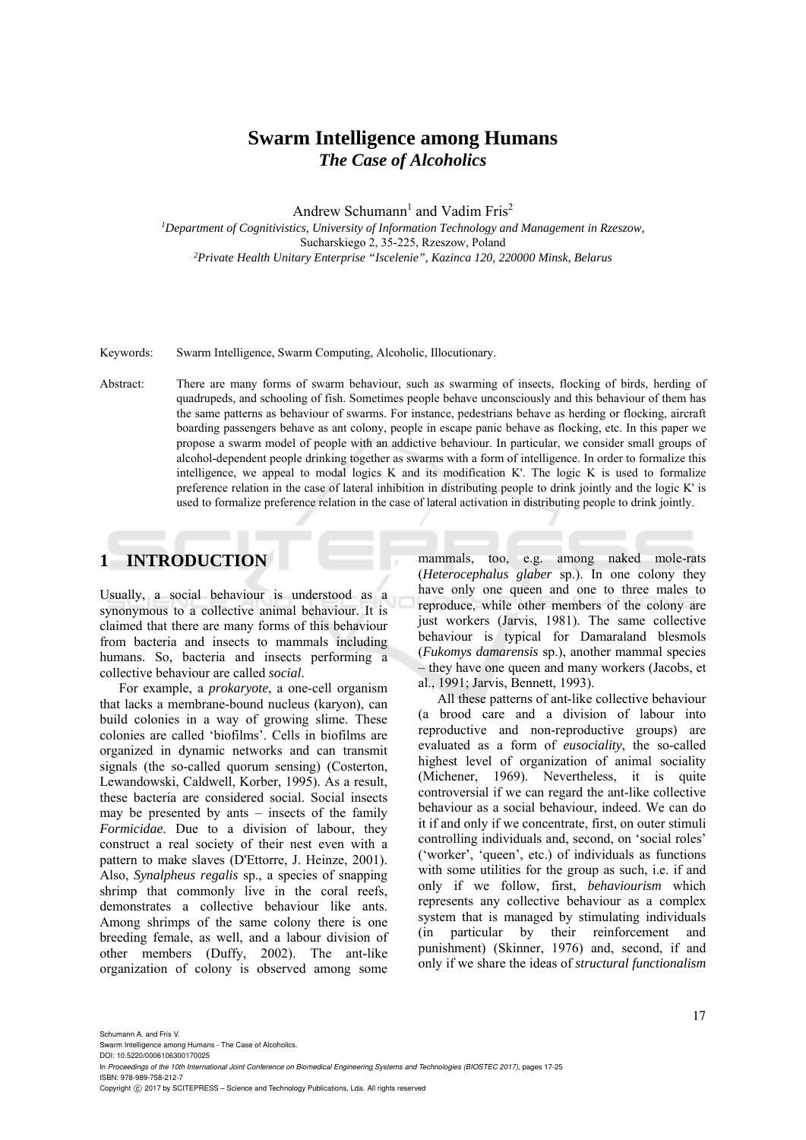## **Swarm Intelligence among Humans**  *The Case of Alcoholics*

Andrew Schumann<sup>1</sup> and Vadim Fris<sup>2</sup>

*1Department of Cognitivistics, University of Information Technology and Management in Rzeszow,*  Sucharskiego 2, 35-225, Rzeszow, Poland *2Private Health Unitary Enterprise "Iscelenie", Kazinca 120, 220000 Minsk, Belarus* 

Keywords: Swarm Intelligence, Swarm Computing, Alcoholic, Illocutionary.

Abstract: There are many forms of swarm behaviour, such as swarming of insects, flocking of birds, herding of quadrupeds, and schooling of fish. Sometimes people behave unconsciously and this behaviour of them has the same patterns as behaviour of swarms. For instance, pedestrians behave as herding or flocking, aircraft boarding passengers behave as ant colony, people in escape panic behave as flocking, etc. In this paper we propose a swarm model of people with an addictive behaviour. In particular, we consider small groups of alcohol-dependent people drinking together as swarms with a form of intelligence. In order to formalize this intelligence, we appeal to modal logics K and its modification K'. The logic K is used to formalize preference relation in the case of lateral inhibition in distributing people to drink jointly and the logic K' is used to formalize preference relation in the case of lateral activation in distributing people to drink jointly.

# **1 INTRODUCTION**

Usually, a social behaviour is understood as a synonymous to a collective animal behaviour. It is claimed that there are many forms of this behaviour from bacteria and insects to mammals including humans. So, bacteria and insects performing a collective behaviour are called *social*.

For example, a *prokaryote*, a one-cell organism that lacks a membrane-bound nucleus (karyon), can build colonies in a way of growing slime. These colonies are called 'biofilms'. Cells in biofilms are organized in dynamic networks and can transmit signals (the so-called quorum sensing) (Costerton, Lewandowski, Caldwell, Korber, 1995). As a result, these bacteria are considered social. Social insects may be presented by ants – insects of the family *Formicidae*. Due to a division of labour, they construct a real society of their nest even with a pattern to make slaves (D'Ettorre, J. Heinze, 2001). Also, *Synalpheus regalis* sp., a species of snapping shrimp that commonly live in the coral reefs, demonstrates a collective behaviour like ants. Among shrimps of the same colony there is one breeding female, as well, and a labour division of other members (Duffy, 2002). The ant-like organization of colony is observed among some

mammals, too, e.g. among naked mole-rats (*Heterocephalus glaber* sp.). In one colony they have only one queen and one to three males to reproduce, while other members of the colony are just workers (Jarvis, 1981). The same collective behaviour is typical for Damaraland blesmols (*Fukomys damarensis* sp.), another mammal species – they have one queen and many workers (Jacobs, et al., 1991; Jarvis, Bennett, 1993).

All these patterns of ant-like collective behaviour (a brood care and a division of labour into reproductive and non-reproductive groups) are evaluated as a form of *eusociality*, the so-called highest level of organization of animal sociality (Michener, 1969). Nevertheless, it is quite controversial if we can regard the ant-like collective behaviour as a social behaviour, indeed. We can do it if and only if we concentrate, first, on outer stimuli controlling individuals and, second, on 'social roles' ('worker', 'queen', etc.) of individuals as functions with some utilities for the group as such, i.e. if and only if we follow, first, *behaviourism* which represents any collective behaviour as a complex system that is managed by stimulating individuals (in particular by their reinforcement and punishment) (Skinner, 1976) and, second, if and only if we share the ideas of *structural functionalism*

Schumann A. and Fris V.

Swarm Intelligence among Humans - The Case of Alcoholics. DOI: 10.5220/0006106300170025

In *Proceedings of the 10th International Joint Conference on Biomedical Engineering Systems and Technologies (BIOSTEC 2017)*, pages 17-25 ISBN: 978-989-758-212-7

Copyright (C) 2017 by SCITEPRESS - Science and Technology Publications, Lda. All rights reserved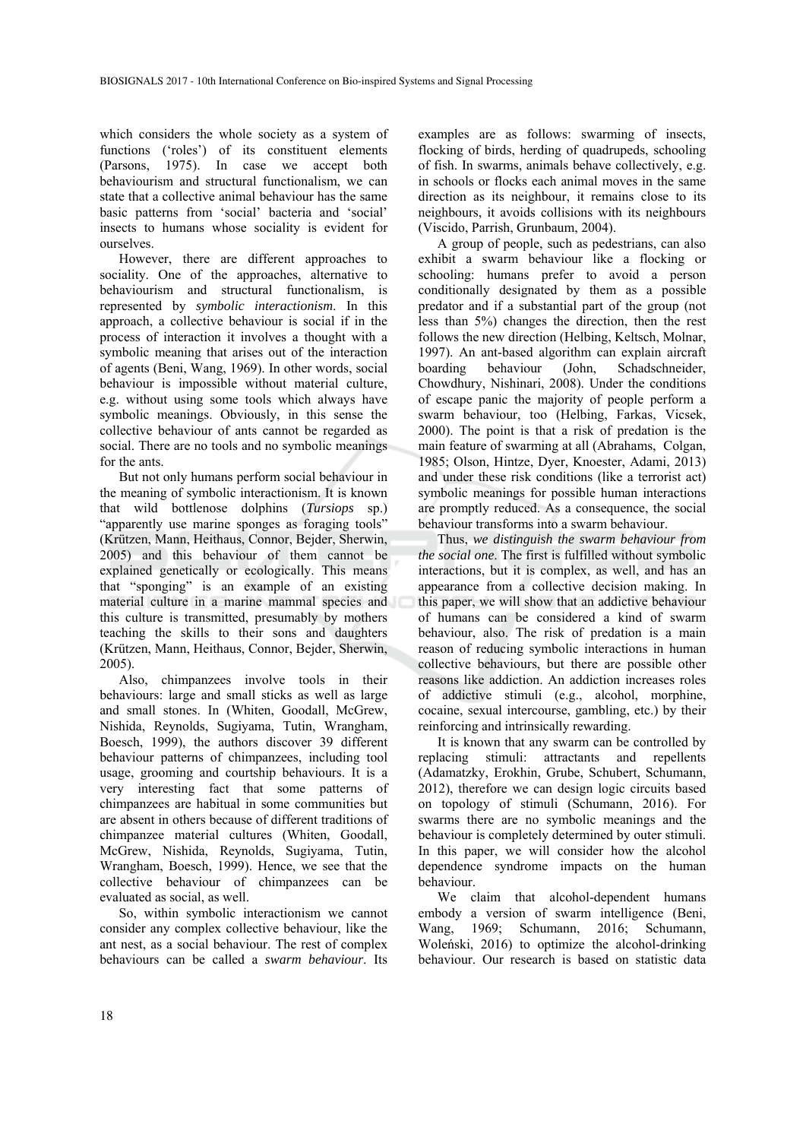which considers the whole society as a system of functions ('roles') of its constituent elements (Parsons, 1975). In case we accept both behaviourism and structural functionalism, we can state that a collective animal behaviour has the same basic patterns from 'social' bacteria and 'social' insects to humans whose sociality is evident for ourselves.

However, there are different approaches to sociality. One of the approaches, alternative to behaviourism and structural functionalism, is represented by *symbolic interactionism*. In this approach, a collective behaviour is social if in the process of interaction it involves a thought with a symbolic meaning that arises out of the interaction of agents (Beni, Wang, 1969). In other words, social behaviour is impossible without material culture, e.g. without using some tools which always have symbolic meanings. Obviously, in this sense the collective behaviour of ants cannot be regarded as social. There are no tools and no symbolic meanings for the ants.

But not only humans perform social behaviour in the meaning of symbolic interactionism. It is known that wild bottlenose dolphins (*Tursiops* sp.) "apparently use marine sponges as foraging tools" (Krützen, Mann, Heithaus, Connor, Bejder, Sherwin, 2005) and this behaviour of them cannot be explained genetically or ecologically. This means that "sponging" is an example of an existing material culture in a marine mammal species and this culture is transmitted, presumably by mothers teaching the skills to their sons and daughters (Krützen, Mann, Heithaus, Connor, Bejder, Sherwin, 2005).

Also, chimpanzees involve tools in their behaviours: large and small sticks as well as large and small stones. In (Whiten, Goodall, McGrew, Nishida, Reynolds, Sugiyama, Tutin, Wrangham, Boesch, 1999), the authors discover 39 different behaviour patterns of chimpanzees, including tool usage, grooming and courtship behaviours. It is a very interesting fact that some patterns of chimpanzees are habitual in some communities but are absent in others because of different traditions of chimpanzee material cultures (Whiten, Goodall, McGrew, Nishida, Reynolds, Sugiyama, Tutin, Wrangham, Boesch, 1999). Hence, we see that the collective behaviour of chimpanzees can be evaluated as social, as well.

So, within symbolic interactionism we cannot consider any complex collective behaviour, like the ant nest, as a social behaviour. The rest of complex behaviours can be called a *swarm behaviour*. Its

examples are as follows: swarming of insects, flocking of birds, herding of quadrupeds, schooling of fish. In swarms, animals behave collectively, e.g. in schools or flocks each animal moves in the same direction as its neighbour, it remains close to its neighbours, it avoids collisions with its neighbours (Viscido, Parrish, Grunbaum, 2004).

A group of people, such as pedestrians, can also exhibit a swarm behaviour like a flocking or schooling: humans prefer to avoid a person conditionally designated by them as a possible predator and if a substantial part of the group (not less than 5%) changes the direction, then the rest follows the new direction (Helbing, Keltsch, Molnar, 1997). An ant-based algorithm can explain aircraft boarding behaviour (John, Schadschneider, Chowdhury, Nishinari, 2008). Under the conditions of escape panic the majority of people perform a swarm behaviour, too (Helbing, Farkas, Vicsek, 2000). The point is that a risk of predation is the main feature of swarming at all (Abrahams, Colgan, 1985; Olson, Hintze, Dyer, Knoester, Adami, 2013) and under these risk conditions (like a terrorist act) symbolic meanings for possible human interactions are promptly reduced. As a consequence, the social behaviour transforms into a swarm behaviour.

Thus, *we distinguish the swarm behaviour from the social one*. The first is fulfilled without symbolic interactions, but it is complex, as well, and has an appearance from a collective decision making. In this paper, we will show that an addictive behaviour of humans can be considered a kind of swarm behaviour, also. The risk of predation is a main reason of reducing symbolic interactions in human collective behaviours, but there are possible other reasons like addiction. An addiction increases roles of addictive stimuli (e.g., alcohol, morphine, cocaine, sexual intercourse, gambling, etc.) by their reinforcing and intrinsically rewarding.

It is known that any swarm can be controlled by replacing stimuli: attractants and repellents (Adamatzky, Erokhin, Grube, Schubert, Schumann, 2012), therefore we can design logic circuits based on topology of stimuli (Schumann, 2016). For swarms there are no symbolic meanings and the behaviour is completely determined by outer stimuli. In this paper, we will consider how the alcohol dependence syndrome impacts on the human behaviour.

We claim that alcohol-dependent humans embody a version of swarm intelligence (Beni, Wang, 1969; Schumann, 2016; Schumann, Woleński, 2016) to optimize the alcohol-drinking behaviour. Our research is based on statistic data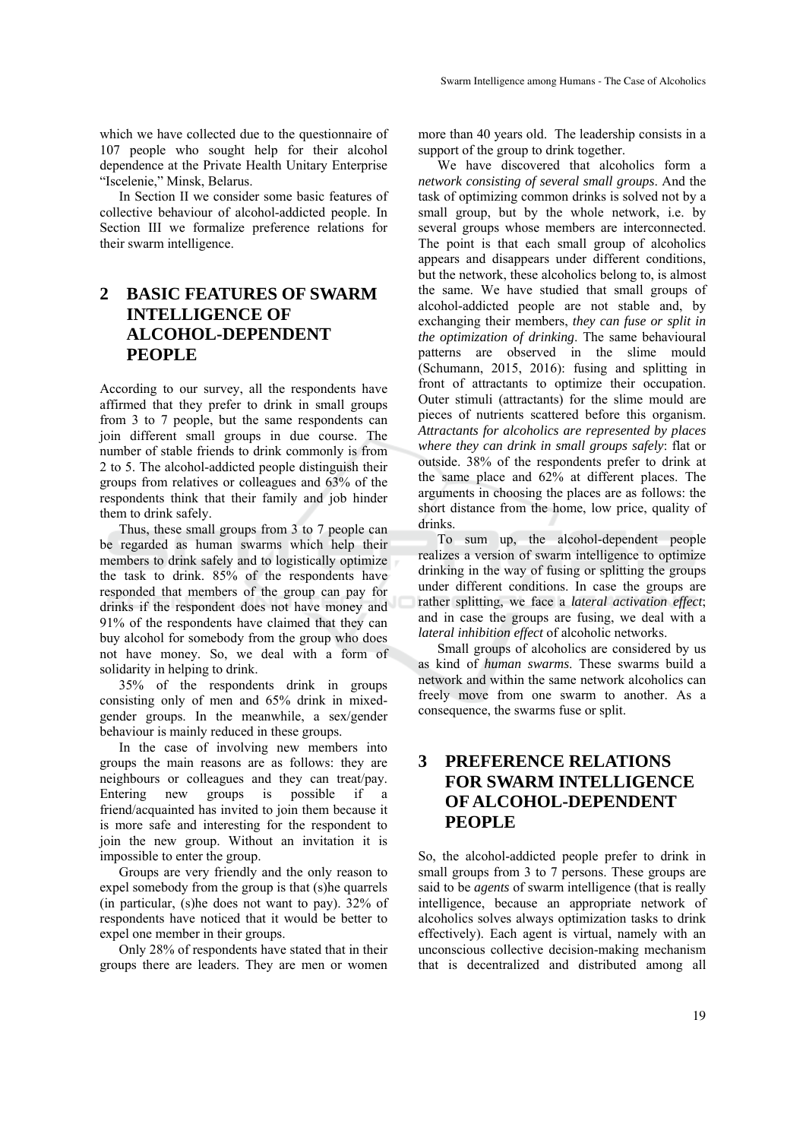which we have collected due to the questionnaire of 107 people who sought help for their alcohol dependence at the Private Health Unitary Enterprise "Iscelenie," Minsk, Belarus.

In Section II we consider some basic features of collective behaviour of alcohol-addicted people. In Section III we formalize preference relations for their swarm intelligence.

# **2 BASIC FEATURES OF SWARM INTELLIGENCE OF ALCOHOL-DEPENDENT PEOPLE**

According to our survey, all the respondents have affirmed that they prefer to drink in small groups from 3 to 7 people, but the same respondents can join different small groups in due course. The number of stable friends to drink commonly is from 2 to 5. The alcohol-addicted people distinguish their groups from relatives or colleagues and 63% of the respondents think that their family and job hinder them to drink safely.

Thus, these small groups from 3 to 7 people can be regarded as human swarms which help their members to drink safely and to logistically optimize the task to drink. 85% of the respondents have responded that members of the group can pay for drinks if the respondent does not have money and 91% of the respondents have claimed that they can buy alcohol for somebody from the group who does not have money. So, we deal with a form of solidarity in helping to drink.

35% of the respondents drink in groups consisting only of men and 65% drink in mixedgender groups. In the meanwhile, a sex/gender behaviour is mainly reduced in these groups.

In the case of involving new members into groups the main reasons are as follows: they are neighbours or colleagues and they can treat/pay. Entering new groups is possible if a friend/acquainted has invited to join them because it is more safe and interesting for the respondent to join the new group. Without an invitation it is impossible to enter the group.

Groups are very friendly and the only reason to expel somebody from the group is that (s)he quarrels (in particular, (s)he does not want to pay). 32% of respondents have noticed that it would be better to expel one member in their groups.

Only 28% of respondents have stated that in their groups there are leaders. They are men or women more than 40 years old. The leadership consists in a support of the group to drink together.

We have discovered that alcoholics form a *network consisting of several small groups*. And the task of optimizing common drinks is solved not by a small group, but by the whole network, i.e. by several groups whose members are interconnected. The point is that each small group of alcoholics appears and disappears under different conditions, but the network, these alcoholics belong to, is almost the same. We have studied that small groups of alcohol-addicted people are not stable and, by exchanging their members, *they can fuse or split in the optimization of drinking*. The same behavioural patterns are observed in the slime mould (Schumann, 2015, 2016): fusing and splitting in front of attractants to optimize their occupation. Outer stimuli (attractants) for the slime mould are pieces of nutrients scattered before this organism. *Attractants for alcoholics are represented by places where they can drink in small groups safely*: flat or outside. 38% of the respondents prefer to drink at the same place and 62% at different places. The arguments in choosing the places are as follows: the short distance from the home, low price, quality of drinks.

To sum up, the alcohol-dependent people realizes a version of swarm intelligence to optimize drinking in the way of fusing or splitting the groups under different conditions. In case the groups are rather splitting, we face a *lateral activation effect*; and in case the groups are fusing, we deal with a *lateral inhibition effect* of alcoholic networks.

Small groups of alcoholics are considered by us as kind of *human swarms*. These swarms build a network and within the same network alcoholics can freely move from one swarm to another. As a consequence, the swarms fuse or split.

# **3 PREFERENCE RELATIONS FOR SWARM INTELLIGENCE OF ALCOHOL-DEPENDENT PEOPLE**

So, the alcohol-addicted people prefer to drink in small groups from 3 to 7 persons. These groups are said to be *agents* of swarm intelligence (that is really intelligence, because an appropriate network of alcoholics solves always optimization tasks to drink effectively). Each agent is virtual, namely with an unconscious collective decision-making mechanism that is decentralized and distributed among all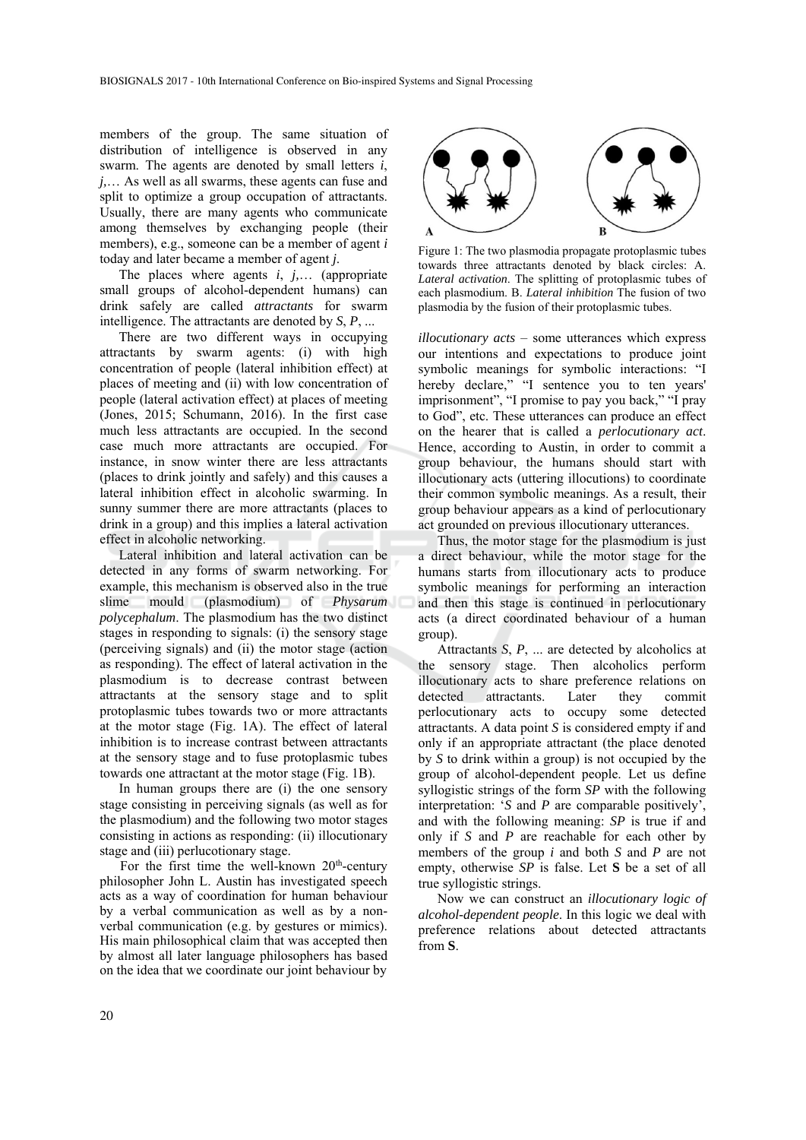members of the group. The same situation of distribution of intelligence is observed in any swarm. The agents are denoted by small letters *i*, *j,*… As well as all swarms, these agents can fuse and split to optimize a group occupation of attractants. Usually, there are many agents who communicate among themselves by exchanging people (their members), e.g., someone can be a member of agent *i* today and later became a member of agent *j*.

The places where agents *i*, *j,*… (appropriate small groups of alcohol-dependent humans) can drink safely are called *attractants* for swarm intelligence. The attractants are denoted by *S*, *P*, ...

There are two different ways in occupying attractants by swarm agents: (i) with high concentration of people (lateral inhibition effect) at places of meeting and (ii) with low concentration of people (lateral activation effect) at places of meeting (Jones, 2015; Schumann, 2016). In the first case much less attractants are occupied. In the second case much more attractants are occupied. For instance, in snow winter there are less attractants (places to drink jointly and safely) and this causes a lateral inhibition effect in alcoholic swarming. In sunny summer there are more attractants (places to drink in a group) and this implies a lateral activation effect in alcoholic networking.

Lateral inhibition and lateral activation can be detected in any forms of swarm networking. For example, this mechanism is observed also in the true slime mould (plasmodium) of *Physarum polycephalum*. The plasmodium has the two distinct stages in responding to signals: (i) the sensory stage (perceiving signals) and (ii) the motor stage (action as responding). The effect of lateral activation in the plasmodium is to decrease contrast between attractants at the sensory stage and to split protoplasmic tubes towards two or more attractants at the motor stage (Fig. 1A). The effect of lateral inhibition is to increase contrast between attractants at the sensory stage and to fuse protoplasmic tubes towards one attractant at the motor stage (Fig. 1B).

In human groups there are (i) the one sensory stage consisting in perceiving signals (as well as for the plasmodium) and the following two motor stages consisting in actions as responding: (ii) illocutionary stage and (iii) perlucotionary stage.

For the first time the well-known  $20<sup>th</sup>$ -century philosopher John L. Austin has investigated speech acts as a way of coordination for human behaviour by a verbal communication as well as by a nonverbal communication (e.g. by gestures or mimics). His main philosophical claim that was accepted then by almost all later language philosophers has based on the idea that we coordinate our joint behaviour by



Figure 1: The two plasmodia propagate protoplasmic tubes towards three attractants denoted by black circles: A. *Lateral activation*. The splitting of protoplasmic tubes of each plasmodium. B. *Lateral inhibition* The fusion of two plasmodia by the fusion of their protoplasmic tubes.

*illocutionary acts* – some utterances which express our intentions and expectations to produce joint symbolic meanings for symbolic interactions: "I hereby declare," "I sentence you to ten years' imprisonment", "I promise to pay you back," "I pray to God", etc. These utterances can produce an effect on the hearer that is called a *perlocutionary act*. Hence, according to Austin, in order to commit a group behaviour, the humans should start with illocutionary acts (uttering illocutions) to coordinate their common symbolic meanings. As a result, their group behaviour appears as a kind of perlocutionary act grounded on previous illocutionary utterances.

Thus, the motor stage for the plasmodium is just a direct behaviour, while the motor stage for the humans starts from illocutionary acts to produce symbolic meanings for performing an interaction and then this stage is continued in perlocutionary acts (a direct coordinated behaviour of a human group).

Attractants *S*, *P*, ... are detected by alcoholics at the sensory stage. Then alcoholics perform illocutionary acts to share preference relations on detected attractants. Later they commit perlocutionary acts to occupy some detected attractants. A data point *S* is considered empty if and only if an appropriate attractant (the place denoted by *S* to drink within a group) is not occupied by the group of alcohol-dependent people. Let us define syllogistic strings of the form *SP* with the following interpretation: '*S* and *P* are comparable positively', and with the following meaning: *SP* is true if and only if *S* and *P* are reachable for each other by members of the group *i* and both *S* and *P* are not empty, otherwise *SP* is false. Let **S** be a set of all true syllogistic strings.

Now we can construct an *illocutionary logic of alcohol-dependent people*. In this logic we deal with preference relations about detected attractants from **S**.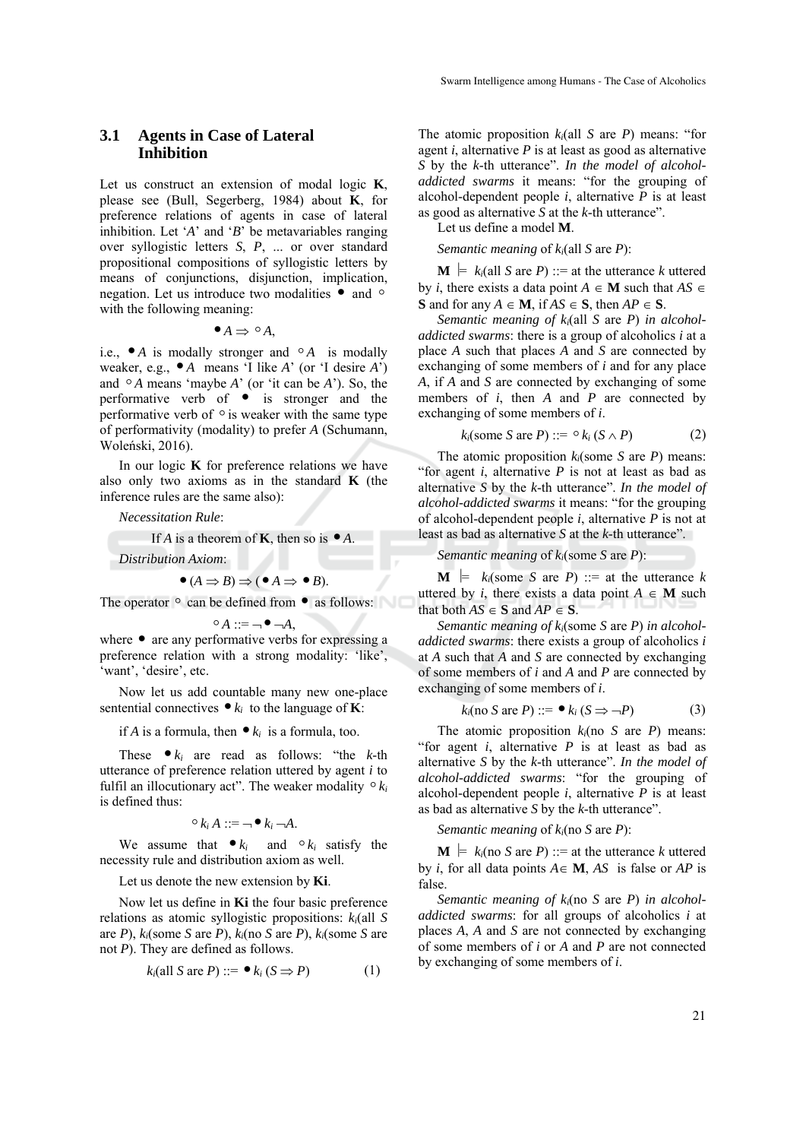### **3.1 Agents in Case of Lateral Inhibition**

Let us construct an extension of modal logic **K**, please see (Bull, Segerberg, 1984) about **K**, for preference relations of agents in case of lateral inhibition. Let '*A*' and '*B*' be metavariables ranging over syllogistic letters *S*, *P*, ... or over standard propositional compositions of syllogistic letters by means of conjunctions, disjunction, implication, negation. Let us introduce two modalities  $\bullet$  and  $\circ$ with the following meaning:

$$
\bullet A \Rightarrow \circ A,
$$

i.e.,  $\bullet$  *A* is modally stronger and  $\circ$  *A* is modally weaker, e.g.,  $\bullet$  *A* means 'I like *A*' (or 'I desire *A*') and  $\circ$  *A* means 'maybe *A*' (or 'it can be *A*'). So, the performative verb of  $\bullet$  is stronger and the performative verb of  $\circ$  is weaker with the same type of performativity (modality) to prefer *A* (Schumann, Woleński, 2016).

In our logic **K** for preference relations we have also only two axioms as in the standard **K** (the inference rules are the same also):

*Necessitation Rule*:

If *A* is a theorem of **K**, then so is  $\bullet$  *A*.

*Distribution Axiom*:

$$
\bullet (A \Rightarrow B) \Rightarrow (\bullet A \Rightarrow \bullet B).
$$

The operator  $\circ$  can be defined from  $\bullet$  as follows:

$$
\circ A ::= \neg \bullet \neg A,
$$

where  $\bullet$  are any performative verbs for expressing a preference relation with a strong modality: 'like', 'want', 'desire', etc.

Now let us add countable many new one-place sentential connectives  $\bullet k_i$  to the language of **K**:

if *A* is a formula, then  $\bullet k_i$  is a formula, too.

These  $\bullet k_i$  are read as follows: "the *k*-th" utterance of preference relation uttered by agent *i* to fulfil an illocutionary act". The weaker modality  $\circ k_i$ is defined thus:

$$
\circ k_i A ::= \neg \bullet k_i \neg A.
$$

We assume that  $\bullet k_i$  and  $\circ k_i$  satisfy the necessity rule and distribution axiom as well.

Let us denote the new extension by **Ki**.

Now let us define in **Ki** the four basic preference relations as atomic syllogistic propositions: *ki*(all *S* are *P*), *ki*(some *S* are *P*), *ki*(no *S* are *P*), *ki*(some *S* are not *P*). They are defined as follows.

$$
k_i(\text{all } S \text{ are } P) ::= \bullet k_i (S \Rightarrow P) \tag{1}
$$

The atomic proposition *ki*(all *S* are *P*) means: "for agent *i*, alternative *P* is at least as good as alternative *S* by the *k*-th utterance". *In the model of alcoholaddicted swarms* it means: "for the grouping of alcohol-dependent people *i*, alternative *P* is at least as good as alternative *S* at the *k*-th utterance".

Let us define a model **M**.

*Semantic meaning* of *ki*(all *S* are *P*):

 $\mathbf{M}$  =  $k_i$ (all *S* are *P*) ::= at the utterance *k* uttered by *i*, there exists a data point  $A \in \mathbf{M}$  such that  $AS \in \mathbf{M}$ **S** and for any  $A \in M$ , if  $AS \in S$ , then  $AP \in S$ .

*Semantic meaning of ki*(all *S* are *P*) *in alcoholaddicted swarms*: there is a group of alcoholics *i* at a place *A* such that places *A* and *S* are connected by exchanging of some members of *i* and for any place *A*, if *A* and *S* are connected by exchanging of some members of *i*, then *A* and *P* are connected by exchanging of some members of *i*.

$$
k_i(\text{some } S \text{ are } P) ::= \circ k_i (S \wedge P) \tag{2}
$$

The atomic proposition *ki*(some *S* are *P*) means: "for agent *i*, alternative *P* is not at least as bad as alternative *S* by the *k*-th utterance". *In the model of alcohol-addicted swarms* it means: "for the grouping of alcohol-dependent people *i*, alternative *P* is not at least as bad as alternative *S* at the *k*-th utterance".

*Semantic meaning* of *ki*(some *S* are *P*):

 $\mathbf{M}$  =  $k_i$ (some *S* are *P*) ::= at the utterance *k* uttered by *i*, there exists a data point  $A \in M$  such that both  $AS \in \mathbf{S}$  and  $AP \in \mathbf{S}$ .

*Semantic meaning of ki*(some *S* are *P*) *in alcoholaddicted swarms*: there exists a group of alcoholics *i* at *A* such that *A* and *S* are connected by exchanging of some members of *i* and *A* and *P* are connected by exchanging of some members of *i*.

$$
k_i(\text{no } S \text{ are } P) ::= \bullet k_i (S \Rightarrow \neg P) \tag{3}
$$

The atomic proposition *ki*(no *S* are *P*) means: "for agent *i*, alternative *P* is at least as bad as alternative *S* by the *k*-th utterance". *In the model of alcohol-addicted swarms*: "for the grouping of alcohol-dependent people *i*, alternative *P* is at least as bad as alternative *S* by the *k*-th utterance".

*Semantic meaning* of *ki*(no *S* are *P*):

 $\mathbf{M} \models k_i$ (no *S* are *P*) ::= at the utterance *k* uttered by *i*, for all data points  $A \in M$ ,  $AS$  is false or  $AP$  is false.

*Semantic meaning of ki*(no *S* are *P*) *in alcoholaddicted swarms*: for all groups of alcoholics *i* at places *A*, *A* and *S* are not connected by exchanging of some members of *i* or *A* and *P* are not connected by exchanging of some members of *i*.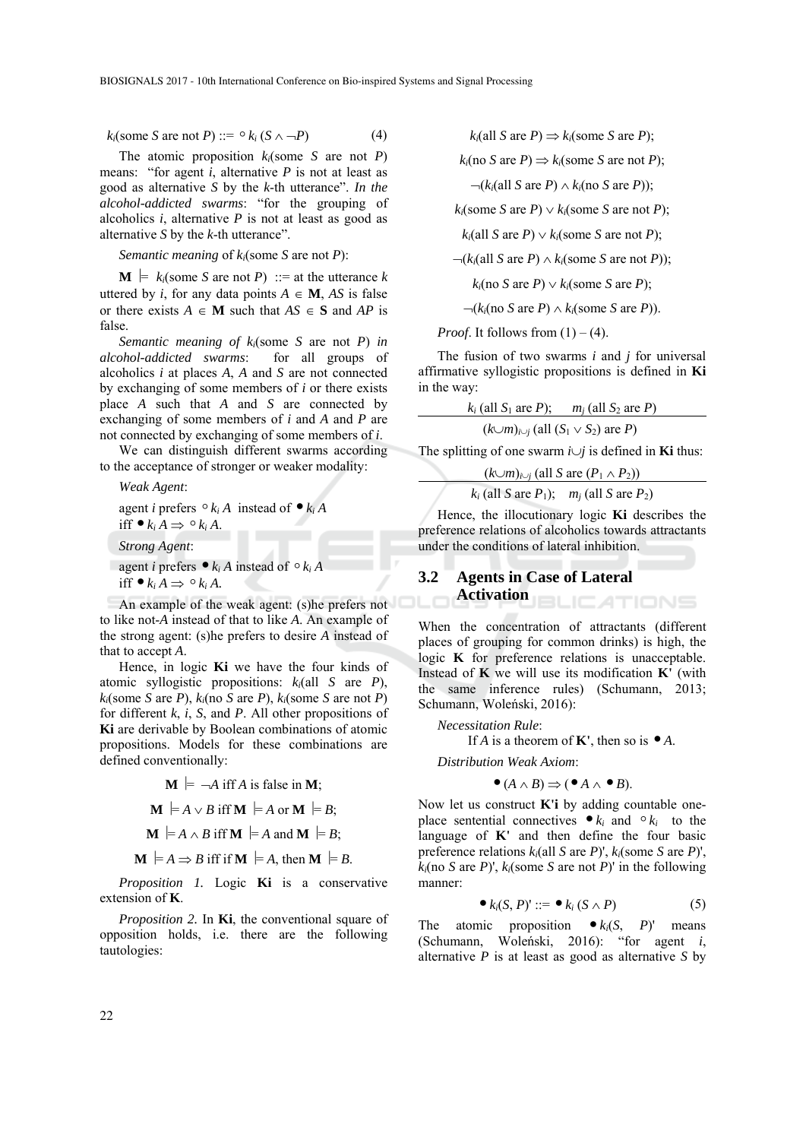$$
k_i(\text{some } S \text{ are not } P) ::= \circ k_i (S \land \neg P) \tag{4}
$$

The atomic proposition *ki*(some *S* are not *P*) means: "for agent *i*, alternative *P* is not at least as good as alternative *S* by the *k*-th utterance". *In the alcohol-addicted swarms*: "for the grouping of alcoholics *i*, alternative *P* is not at least as good as alternative *S* by the *k*-th utterance".

*Semantic meaning* of *ki*(some *S* are not *P*):

 $\mathbf{M} \models k_i$ (some *S* are not *P*) ::= at the utterance *k* uttered by *i*, for any data points  $A \in M$ , AS is false or there exists  $A \in M$  such that  $AS \in S$  and  $AP$  is false.

*Semantic meaning of ki*(some *S* are not *P*) *in alcohol-addicted swarms*: for all groups of alcoholics *i* at places *A*, *A* and *S* are not connected by exchanging of some members of *i* or there exists place *A* such that *A* and *S* are connected by exchanging of some members of *i* and *A* and *P* are not connected by exchanging of some members of *i*.

We can distinguish different swarms according to the acceptance of stronger or weaker modality:

*Weak Agent*:

agent *i* prefers  $\circ k_i A$  instead of  $\bullet k_i A$ 

iff  $\bullet$   $k_i$   $A \Rightarrow \circ k_i$   $A$ .

*Strong Agent*:

agent *i* prefers  $\bullet$   $k_i$  *A* instead of  $\circ$   $k_i$  *A* iff  $\bullet$   $k_i$   $A \Rightarrow \circ k_i$   $A$ .

An example of the weak agent: (s)he prefers not to like not-*A* instead of that to like *A*. An example of the strong agent: (s)he prefers to desire *A* instead of that to accept *A*.

Hence, in logic **Ki** we have the four kinds of atomic syllogistic propositions: *ki*(all *S* are *P*),  $k_i$ (some *S* are *P*),  $k_i$ (no *S* are *P*),  $k_i$ (some *S* are not *P*) for different *k*, *i*, *S*, and *P*. All other propositions of **Ki** are derivable by Boolean combinations of atomic propositions. Models for these combinations are defined conventionally:

 $\mathbf{M}$  =  $\neg A$  iff *A* is false in **M**;

$$
\mathbf{M} \models A \vee B \text{ iff } \mathbf{M} \models A \text{ or } \mathbf{M} \models B;
$$

$$
\mathbf{M} \models A \land B \text{ iff } \mathbf{M} \models A \text{ and } \mathbf{M} \models B;
$$

 $\mathbf{M} \models A \Rightarrow B$  iff if  $\mathbf{M} \models A$ , then  $\mathbf{M} \models B$ .

*Proposition 1.* Logic **Ki** is a conservative extension of **K**.

*Proposition 2.* In **Ki**, the conventional square of opposition holds, i.e. there are the following tautologies:

 $k_i$ (all *S* are *P*)  $\Rightarrow$   $k_i$ (some *S* are *P*);

 $k_i$ (no *S* are *P*)  $\Rightarrow$   $k_i$ (some *S* are not *P*);

 $\neg (k_i$ (all *S* are *P*)  $\land$   $k_i$ (no *S* are *P*));

 $k_i$ (some *S* are *P*)  $\vee$   $k_i$ (some *S* are not *P*);

 $k_i$ (all *S* are *P*)  $\vee$   $k_i$ (some *S* are not *P*);

 $\neg (k_i$ (all *S* are *P*)  $\land$   $k_i$ (some *S* are not *P*));

 $k_i$ (no *S* are *P*)  $\vee$   $k_i$ (some *S* are *P*);

 $\neg (k_i$ (no *S* are *P*)  $\land$   $k_i$ (some *S* are *P*)).

*Proof.* It follows from  $(1) - (4)$ .

The fusion of two swarms *i* and *j* for universal affirmative syllogistic propositions is defined in **Ki** in the way:

$$
k_i
$$
 (all  $S_1$  are  $P$ );  $m_j$  (all  $S_2$  are  $P$ )  
 $(k \cup m)_{i \cup j}$  (all  $(S_1 \vee S_2)$  are  $P$ )

The splitting of one swarm  $i \cup j$  is defined in **Ki** thus:

$$
(k \cup m)_{i \cup j}
$$
 (all *S* are  $(P_1 \wedge P_2)$ )

 $k_i$  (all *S* are  $P_1$ );  $m_j$  (all *S* are  $P_2$ )

Hence, the illocutionary logic **Ki** describes the preference relations of alcoholics towards attractants under the conditions of lateral inhibition.

#### **3.2 Agents in Case of Lateral Activation**  ICATIONS

When the concentration of attractants (different places of grouping for common drinks) is high, the logic **K** for preference relations is unacceptable. Instead of **K** we will use its modification **K'** (with the same inference rules) (Schumann, 2013; Schumann, Woleński, 2016):

*Necessitation Rule*: If *A* is a theorem of **K'**, then so is  $\bullet$  *A*.

*Distribution Weak Axiom*:

$$
\bullet (A \wedge B) \Longrightarrow (\bullet A \wedge \bullet B).
$$

Now let us construct **K'i** by adding countable oneplace sentential connectives  $\bullet k_i$  and  $\circ k_i$  to the language of **K'** and then define the four basic preference relations *ki*(all *S* are *P*)', *ki*(some *S* are *P*)',  $k_i$ (no *S* are *P*)',  $k_i$ (some *S* are not *P*)' in the following manner:

$$
\bullet k_i(S, P)':=\bullet k_i(S \wedge P) \tag{5}
$$

The atomic proposition  $\bullet k_i(S, P)$ ' means (Schumann, Woleński, 2016): "for agent *i*, alternative *P* is at least as good as alternative *S* by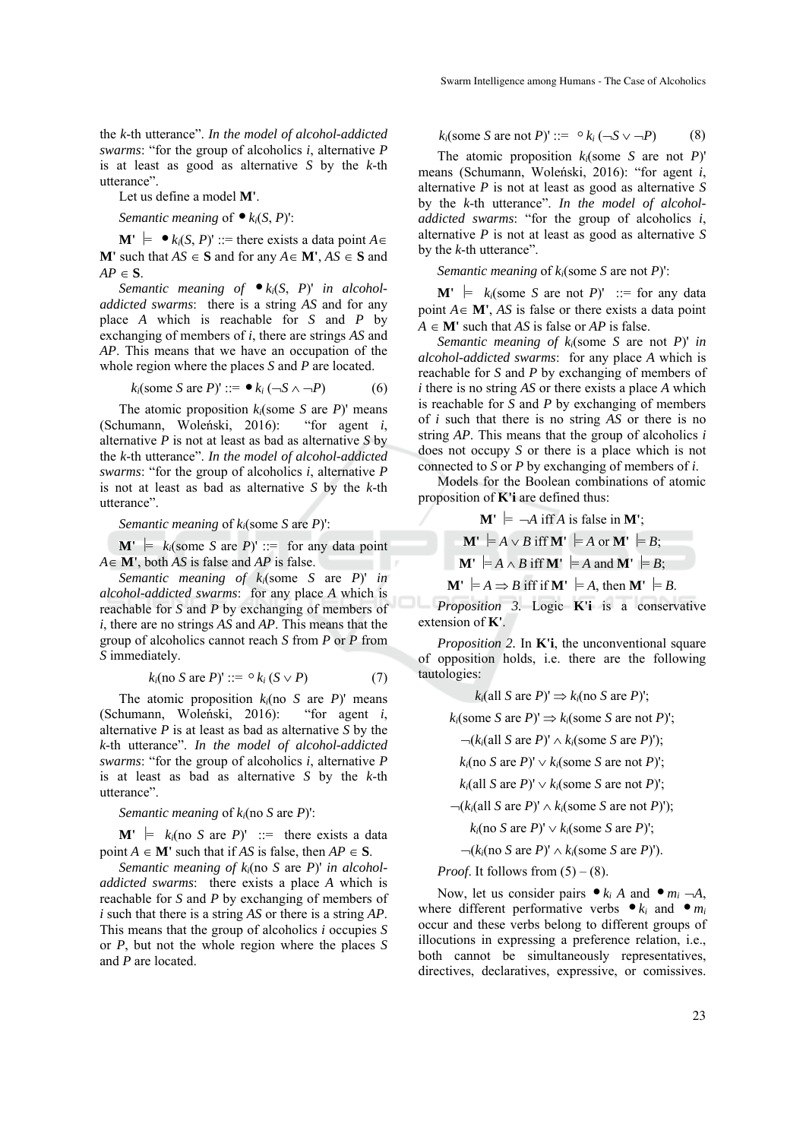the *k*-th utterance". *In the model of alcohol-addicted swarms*: "for the group of alcoholics *i*, alternative *P* is at least as good as alternative *S* by the *k*-th utterance".

Let us define a model **M'**.

*Semantic meaning* of  $\bullet$   $k_i(S, P)'$ :

 $M'$  =  $\bullet$   $k_i(S, P)'$  ::= there exists a data point  $A \in$ **M'** such that  $AS \in S$  and for any  $A \in M'$ ,  $AS \in S$  and  $AP \in S$ .

*Semantic meaning of ki*(*S*, *P*)' *in alcoholaddicted swarms*: there is a string *AS* and for any place *A* which is reachable for *S* and *P* by exchanging of members of *i*, there are strings *AS* and *AP*. This means that we have an occupation of the whole region where the places *S* and *P* are located.

$$
k_i(\text{some } S \text{ are } P)':=\bullet k_i \left(-S \wedge \neg P\right) \tag{6}
$$

The atomic proposition *ki*(some *S* are *P*)' means (Schumann, Woleński, 2016): "for agent *i*, alternative *P* is not at least as bad as alternative *S* by the *k*-th utterance". *In the model of alcohol-addicted swarms*: "for the group of alcoholics *i*, alternative *P* is not at least as bad as alternative *S* by the *k*-th utterance".

*Semantic meaning* of *ki*(some *S* are *P*)':

 $\mathbf{M'}$  =  $k_i$ (some *S* are *P*)' ::= for any data point  $A \in M'$ , both *AS* is false and *AP* is false.

*Semantic meaning of ki*(some *S* are *P*)' *in alcohol-addicted swarms*: for any place *A* which is reachable for *S* and *P* by exchanging of members of *i*, there are no strings *AS* and *AP*. This means that the group of alcoholics cannot reach *S* from *P* or *P* from *S* immediately.

$$
k_i(\text{no } S \text{ are } P)' ::= \circ k_i (S \vee P) \tag{7}
$$

The atomic proposition *ki*(no *S* are *P*)' means (Schumann, Woleński, 2016): "for agent *i*, alternative *P* is at least as bad as alternative *S* by the *k*-th utterance". *In the model of alcohol-addicted swarms*: "for the group of alcoholics *i*, alternative *P* is at least as bad as alternative *S* by the *k*-th utterance".

*Semantic meaning* of *ki*(no *S* are *P*)':

 $\mathbf{M'}$  =  $k_i$ (no *S* are *P*)' ::= there exists a data point  $A \in M'$  such that if *AS* is false, then  $AP \in S$ .

*Semantic meaning of ki*(no *S* are *P*)' *in alcoholaddicted swarms*: there exists a place *A* which is reachable for *S* and *P* by exchanging of members of *i* such that there is a string *AS* or there is a string *AP*. This means that the group of alcoholics *i* occupies *S* or *P*, but not the whole region where the places *S* and *P* are located.

$$
k_i(\text{some } S \text{ are not } P)':=\ {}^{\circ}k_i\left(-S\vee -P\right)\qquad (8)
$$

The atomic proposition *ki*(some *S* are not *P*)' means (Schumann, Woleński, 2016): "for agent *i*, alternative *P* is not at least as good as alternative *S* by the *k*-th utterance". *In the model of alcoholaddicted swarms*: "for the group of alcoholics *i*, alternative *P* is not at least as good as alternative *S* by the *k*-th utterance".

*Semantic meaning* of *ki*(some *S* are not *P*)':

 $M'$  =  $k_i$ (some *S* are not *P*)' ::= for any data point  $A \in M'$ ,  $AS$  is false or there exists a data point  $A \in \mathbf{M'}$  such that *AS* is false or *AP* is false.

*Semantic meaning of ki*(some *S* are not *P*)' *in alcohol-addicted swarms*: for any place *A* which is reachable for *S* and *P* by exchanging of members of *i* there is no string *AS* or there exists a place *A* which is reachable for *S* and *P* by exchanging of members of *i* such that there is no string *AS* or there is no string *AP*. This means that the group of alcoholics *i* does not occupy *S* or there is a place which is not connected to *S* or *P* by exchanging of members of *i*.

Models for the Boolean combinations of atomic proposition of **K'i** are defined thus:

$$
\mathbf{M'} \models \neg A \text{ iff } A \text{ is false in } \mathbf{M'};
$$
  

$$
\mathbf{M'} \models A \lor B \text{ iff } \mathbf{M'} \models A \text{ or } \mathbf{M'} \models B;
$$
  

$$
\mathbf{M'} \models A \land B \text{ iff } \mathbf{M'} \models A \text{ and } \mathbf{M'} \models B;
$$
  

$$
\mathbf{M'} \models A \Rightarrow B \text{ iff } \mathbf{M'} \models A, \text{ then } \mathbf{M'} \models B.
$$

*Proposition 3.* Logic **K'i** is a conservative extension of **K'**.

*Proposition 2.* In **K'i**, the unconventional square of opposition holds, i.e. there are the following tautologies:

 $k_i$ (all *S* are *P*)'  $\Rightarrow$   $k_i$ (no *S* are *P*)';

 $k_i$ (some *S* are *P*)'  $\Rightarrow$   $k_i$ (some *S* are not *P*)';

 $\lnot (k_i$ (all *S* are *P*)'  $\land$   $k_i$ (some *S* are *P*)');

 $k_i$ (no *S* are *P*)'  $\vee$   $k_i$ (some *S* are not *P*)';

 $k_i$ (all *S* are *P*)'  $\vee$   $k_i$ (some *S* are not *P*)';

 $\neg (k_i$ (all *S* are *P*)'  $\land$   $k_i$ (some *S* are not *P*)');

 $k_i$ (no *S* are *P*)'  $\vee$   $k_i$ (some *S* are *P*)';

 $\neg (k_i$ (no *S* are *P*)'  $\land$   $k_i$ (some *S* are *P*)').

*Proof.* It follows from  $(5) - (8)$ .

Now, let us consider pairs  $\bullet k_i$  A and  $\bullet m_i$   $\neg A$ , where different performative verbs  $\bullet k_i$  and  $\bullet m_i$ occur and these verbs belong to different groups of illocutions in expressing a preference relation, i.e., both cannot be simultaneously representatives, directives, declaratives, expressive, or comissives.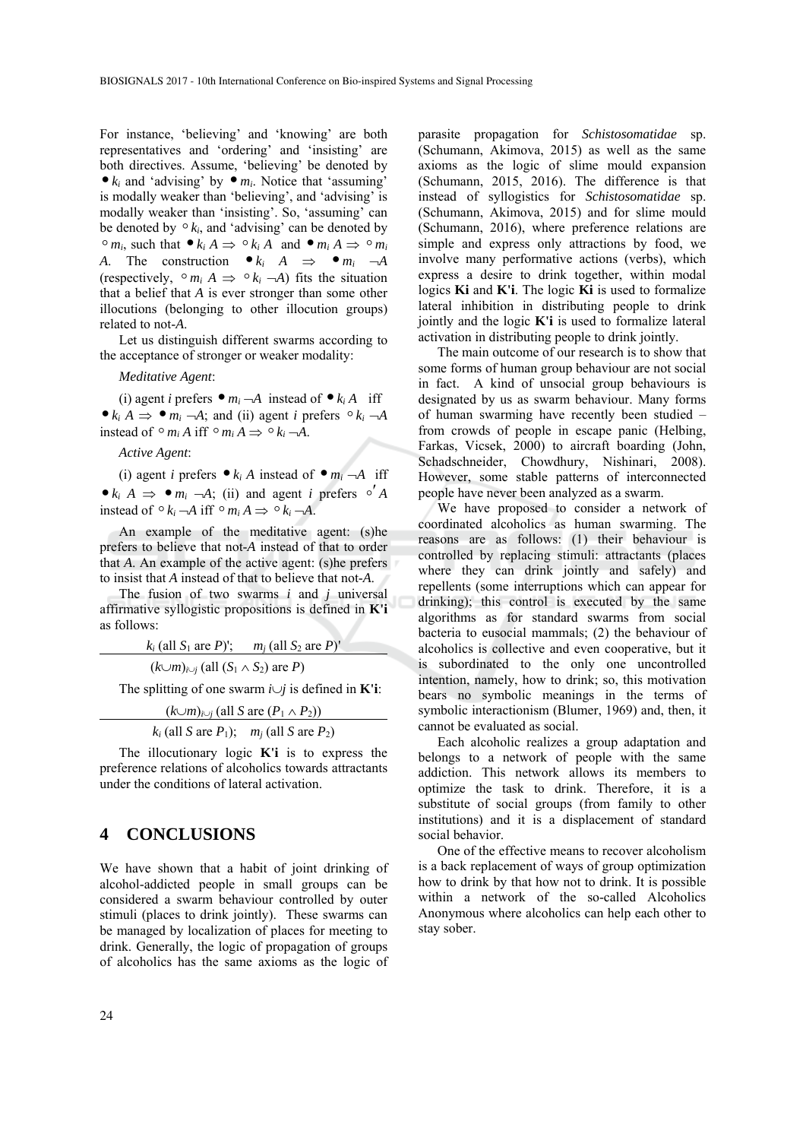For instance, 'believing' and 'knowing' are both representatives and 'ordering' and 'insisting' are both directives. Assume, 'believing' be denoted by  $\bullet$   $k_i$  and 'advising' by  $\bullet$   $m_i$ . Notice that 'assuming' is modally weaker than 'believing', and 'advising' is modally weaker than 'insisting'. So, 'assuming' can be denoted by  $\circ k_i$ , and 'advising' can be denoted by  $\circ$  *m<sub>i</sub>*, such that  $\bullet$  *k<sub>i</sub> A*  $\Rightarrow \circ$  *k<sub>i</sub> A* and  $\bullet$  *m<sub>i</sub> A*  $\Rightarrow \circ$  *m<sub>i</sub> A*. The construction  $\bullet k_i \quad A \Rightarrow \bullet m_i \quad \neg A$ (respectively,  $\circ m_i A \Rightarrow \circ k_i -A$ ) fits the situation that a belief that *A* is ever stronger than some other illocutions (belonging to other illocution groups) related to not-*A*.

Let us distinguish different swarms according to the acceptance of stronger or weaker modality:

*Meditative Agent*:

(i) agent *i* prefers  $\bullet$  *m<sub>i</sub>*  $\neg A$  instead of  $\bullet$  *k<sub>i</sub>* A iff  $\bullet$  *k<sub>i</sub>*  $A \Rightarrow \bullet$  *m<sub>i</sub>*  $\neg A$ ; and (ii) agent *i* prefers  $\circ$  *k<sub>i</sub>*  $\neg A$ instead of  $\circ$  *m<sub>i</sub> A* iff  $\circ$  *m<sub>i</sub>*  $A \Rightarrow \circ k_i \neg A$ .

#### *Active Agent*:

(i) agent *i* prefers  $\bullet k_i$  A instead of  $\bullet m_i$   $\neg A$  iff  $\bullet$  *k<sub>i</sub>*  $A \Rightarrow \bullet$  *m<sub>i</sub>*  $\neg A$ ; (ii) and agent *i* prefers  $\circ' A$ instead of  $\circ k_i - A$  iff  $\circ m_i A \Rightarrow \circ k_i - A$ .

An example of the meditative agent: (s)he prefers to believe that not-*A* instead of that to order that *A*. An example of the active agent: (s)he prefers to insist that *A* instead of that to believe that not-*A*.

The fusion of two swarms *i* and *j* universal affirmative syllogistic propositions is defined in **K'i** as follows:

$$
k_i
$$
 (all  $S_1$  are  $P$ )( $m_j$  (all  $S_2$  are  $P$ )

 $(k\cup m)_{i\cup j}$  (all  $(S_1 \wedge S_2)$  are *P*)

The splitting of one swarm  $i \cup j$  is defined in **K'i**:

 $(k\cup m)_{i\cup j}$  (all *S* are  $(P_1 \wedge P_2)$ )

$$
k_i
$$
 (all *S* are  $P_1$ );  $m_j$  (all *S* are  $P_2$ )

The illocutionary logic **K'i** is to express the preference relations of alcoholics towards attractants under the conditions of lateral activation.

### **4 CONCLUSIONS**

We have shown that a habit of joint drinking of alcohol-addicted people in small groups can be considered a swarm behaviour controlled by outer stimuli (places to drink jointly). These swarms can be managed by localization of places for meeting to drink. Generally, the logic of propagation of groups of alcoholics has the same axioms as the logic of

parasite propagation for *Schistosomatidae* sp. (Schumann, Akimova, 2015) as well as the same axioms as the logic of slime mould expansion (Schumann, 2015, 2016). The difference is that instead of syllogistics for *Schistosomatidae* sp. (Schumann, Akimova, 2015) and for slime mould (Schumann, 2016), where preference relations are simple and express only attractions by food, we involve many performative actions (verbs), which express a desire to drink together, within modal logics **Ki** and **K'i**. The logic **Ki** is used to formalize lateral inhibition in distributing people to drink jointly and the logic **K'i** is used to formalize lateral activation in distributing people to drink jointly.

The main outcome of our research is to show that some forms of human group behaviour are not social in fact. A kind of unsocial group behaviours is designated by us as swarm behaviour. Many forms of human swarming have recently been studied – from crowds of people in escape panic (Helbing, Farkas, Vicsek, 2000) to aircraft boarding (John, Schadschneider, Chowdhury, Nishinari, 2008). However, some stable patterns of interconnected people have never been analyzed as a swarm.

We have proposed to consider a network of coordinated alcoholics as human swarming. The reasons are as follows: (1) their behaviour is controlled by replacing stimuli: attractants (places where they can drink jointly and safely) and repellents (some interruptions which can appear for drinking); this control is executed by the same algorithms as for standard swarms from social bacteria to eusocial mammals; (2) the behaviour of alcoholics is collective and even cooperative, but it is subordinated to the only one uncontrolled intention, namely, how to drink; so, this motivation bears no symbolic meanings in the terms of symbolic interactionism (Blumer, 1969) and, then, it cannot be evaluated as social.

Each alcoholic realizes a group adaptation and belongs to a network of people with the same addiction. This network allows its members to optimize the task to drink. Therefore, it is a substitute of social groups (from family to other institutions) and it is a displacement of standard social behavior.

One of the effective means to recover alcoholism is a back replacement of ways of group optimization how to drink by that how not to drink. It is possible within a network of the so-called Alcoholics Anonymous where alcoholics can help each other to stay sober.